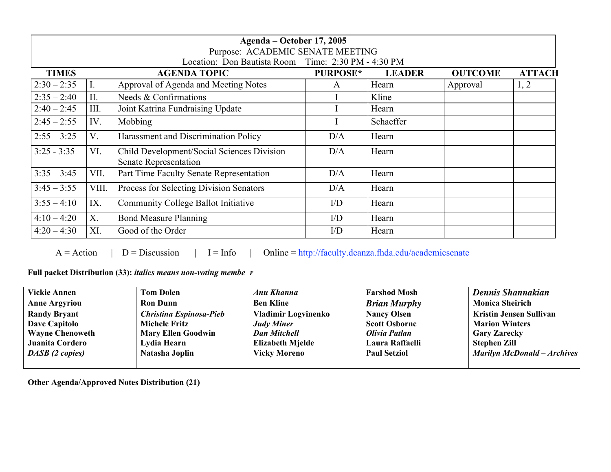| Agenda – October 17, 2005<br>Purpose: ACADEMIC SENATE MEETING |             |                                                                     |                 |               |                |               |  |  |  |
|---------------------------------------------------------------|-------------|---------------------------------------------------------------------|-----------------|---------------|----------------|---------------|--|--|--|
| Location: Don Bautista Room Time: 2:30 PM - 4:30 PM           |             |                                                                     |                 |               |                |               |  |  |  |
| <b>TIMES</b>                                                  |             | <b>AGENDA TOPIC</b>                                                 | <b>PURPOSE*</b> | <b>LEADER</b> | <b>OUTCOME</b> | <b>ATTACH</b> |  |  |  |
| $2:30 - 2:35$                                                 | I.          | Approval of Agenda and Meeting Notes                                | A               | Hearn         | Approval       | 1, 2          |  |  |  |
| $2:35 - 2:40$                                                 | II.         | Needs & Confirmations                                               |                 | Kline         |                |               |  |  |  |
| $2:40 - 2:45$                                                 | III.        | Joint Katrina Fundraising Update                                    |                 | Hearn         |                |               |  |  |  |
| $2:45 - 2:55$                                                 | IV.         | Mobbing                                                             |                 | Schaeffer     |                |               |  |  |  |
| $2:55 - 3:25$                                                 | V.          | Harassment and Discrimination Policy                                | D/A             | Hearn         |                |               |  |  |  |
| $3:25 - 3:35$                                                 | VI.         | Child Development/Social Sciences Division<br>Senate Representation | D/A             | Hearn         |                |               |  |  |  |
| $3:35 - 3:45$                                                 | VII.        | Part Time Faculty Senate Representation                             | D/A             | Hearn         |                |               |  |  |  |
| $3:45 - 3:55$                                                 | VIII.       | Process for Selecting Division Senators                             | D/A             | Hearn         |                |               |  |  |  |
| $3:55 - 4:10$                                                 | IX.         | Community College Ballot Initiative                                 | $\rm I/D$       | Hearn         |                |               |  |  |  |
| $4:10 - 4:20$                                                 | $X_{\cdot}$ | <b>Bond Measure Planning</b>                                        | $\rm I/D$       | Hearn         |                |               |  |  |  |
| $4:20 - 4:30$                                                 | XI.         | Good of the Order                                                   | $\rm I/D$       | Hearn         |                |               |  |  |  |

 $A = Action$  | D = Discussion | I = Info | Online =  $\frac{http://faculty.deanza.fhda.edu/academicsenate}$ 

Full packet Distribution (33): *italics means non-voting membe r*

| <b>Vickie Annen</b>    | <b>Tom Dolen</b>               | Anu Khanna                 | <b>Farshod Mosh</b>  | Dennis Shannakian                  |
|------------------------|--------------------------------|----------------------------|----------------------|------------------------------------|
| <b>Anne Argyriou</b>   | <b>Ron Dunn</b>                | <b>Ben Kline</b>           | <b>Brian Murphy</b>  | <b>Monica Sheirich</b>             |
| <b>Randy Bryant</b>    | <b>Christina Espinosa-Pieb</b> | <b>Vladimir Logvinenko</b> | <b>Nancy Olsen</b>   | <b>Kristin Jensen Sullivan</b>     |
| <b>Dave Capitolo</b>   | <b>Michele Fritz</b>           | <b>Judy Miner</b>          | <b>Scott Osborne</b> | <b>Marion Winters</b>              |
| <b>Wayne Chenoweth</b> | <b>Mary Ellen Goodwin</b>      | <b>Dan Mitchell</b>        | Olivia Patlan        | <b>Gary Zarecky</b>                |
| Juanita Cordero        | Lydia Hearn                    | <b>Elizabeth Mjelde</b>    | Laura Raffaelli      | <b>Stephen Zill</b>                |
| <b>DASB</b> (2 copies) | Natasha Joplin                 | <b>Vicky Moreno</b>        | <b>Paul Setziol</b>  | <b>Marilyn McDonald - Archives</b> |
|                        |                                |                            |                      |                                    |

Other Agenda/Approved Notes Distribution (21)